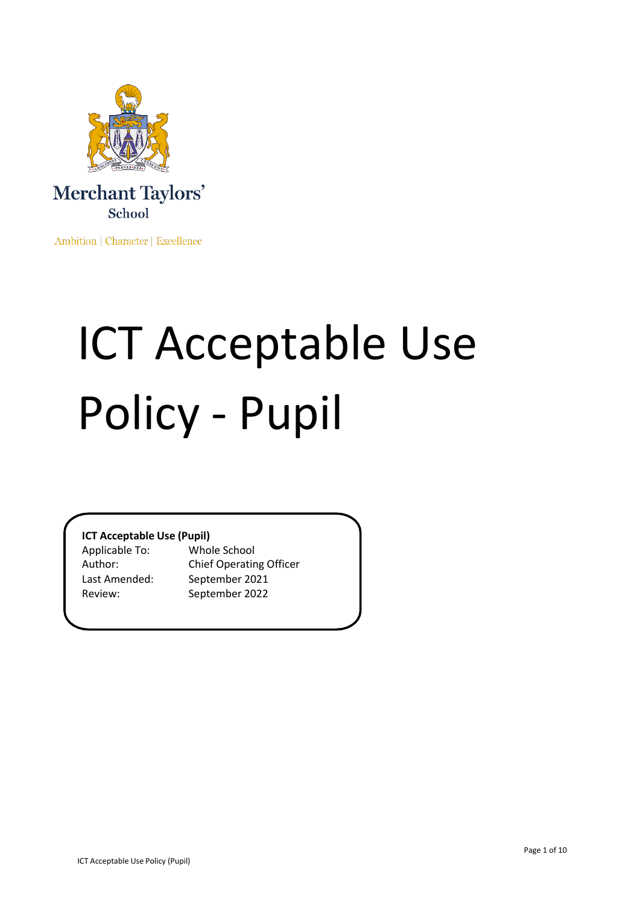

Ambition | Character | Excellence

# ICT Acceptable Use Policy - Pupil

# **ICT Acceptable Use (Pupil)**

Applicable To: Whole School

Author: Chief Operating Officer Last Amended: September 2021 Review: September 2022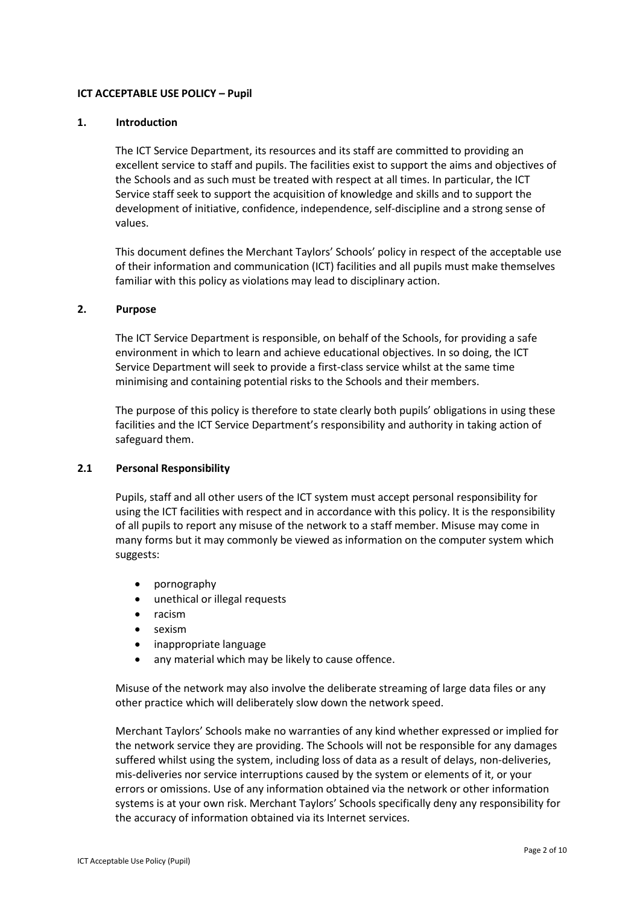## **ICT ACCEPTABLE USE POLICY – Pupil**

#### **1. Introduction**

The ICT Service Department, its resources and its staff are committed to providing an excellent service to staff and pupils. The facilities exist to support the aims and objectives of the Schools and as such must be treated with respect at all times. In particular, the ICT Service staff seek to support the acquisition of knowledge and skills and to support the development of initiative, confidence, independence, self-discipline and a strong sense of values.

This document defines the Merchant Taylors' Schools' policy in respect of the acceptable use of their information and communication (ICT) facilities and all pupils must make themselves familiar with this policy as violations may lead to disciplinary action.

## **2. Purpose**

The ICT Service Department is responsible, on behalf of the Schools, for providing a safe environment in which to learn and achieve educational objectives. In so doing, the ICT Service Department will seek to provide a first-class service whilst at the same time minimising and containing potential risks to the Schools and their members.

The purpose of this policy is therefore to state clearly both pupils' obligations in using these facilities and the ICT Service Department's responsibility and authority in taking action of safeguard them.

### **2.1 Personal Responsibility**

Pupils, staff and all other users of the ICT system must accept personal responsibility for using the ICT facilities with respect and in accordance with this policy. It is the responsibility of all pupils to report any misuse of the network to a staff member. Misuse may come in many forms but it may commonly be viewed as information on the computer system which suggests:

- pornography
- unethical or illegal requests
- racism
- sexism
- inappropriate language
- any material which may be likely to cause offence.

Misuse of the network may also involve the deliberate streaming of large data files or any other practice which will deliberately slow down the network speed.

Merchant Taylors' Schools make no warranties of any kind whether expressed or implied for the network service they are providing. The Schools will not be responsible for any damages suffered whilst using the system, including loss of data as a result of delays, non-deliveries, mis-deliveries nor service interruptions caused by the system or elements of it, or your errors or omissions. Use of any information obtained via the network or other information systems is at your own risk. Merchant Taylors' Schools specifically deny any responsibility for the accuracy of information obtained via its Internet services.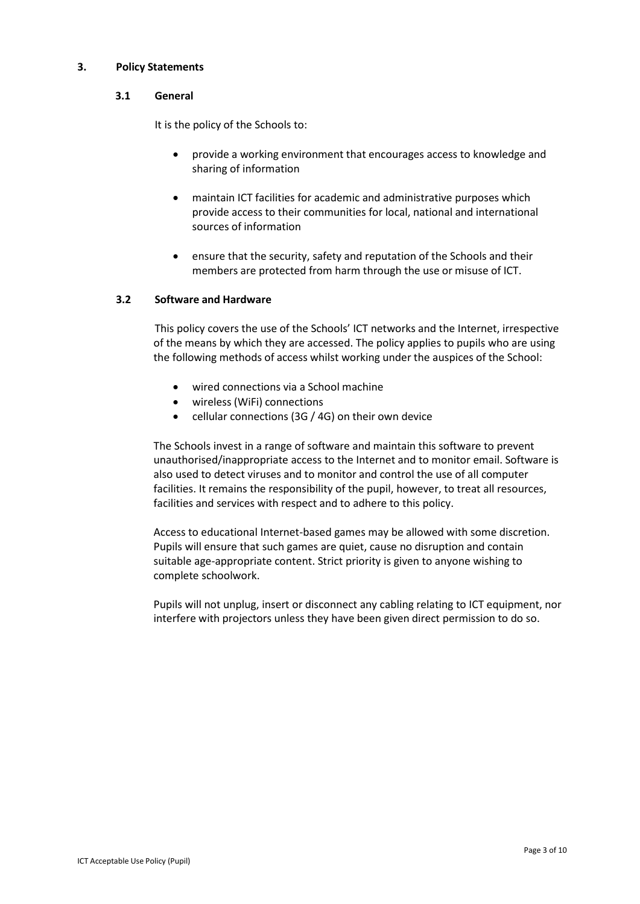## **3. Policy Statements**

# **3.1 General**

It is the policy of the Schools to:

- provide a working environment that encourages access to knowledge and sharing of information
- maintain ICT facilities for academic and administrative purposes which provide access to their communities for local, national and international sources of information
- ensure that the security, safety and reputation of the Schools and their members are protected from harm through the use or misuse of ICT.

# **3.2 Software and Hardware**

This policy covers the use of the Schools' ICT networks and the Internet, irrespective of the means by which they are accessed. The policy applies to pupils who are using the following methods of access whilst working under the auspices of the School:

- wired connections via a School machine
- wireless (WiFi) connections
- cellular connections (3G / 4G) on their own device

The Schools invest in a range of software and maintain this software to prevent unauthorised/inappropriate access to the Internet and to monitor email. Software is also used to detect viruses and to monitor and control the use of all computer facilities. It remains the responsibility of the pupil, however, to treat all resources, facilities and services with respect and to adhere to this policy.

Access to educational Internet-based games may be allowed with some discretion. Pupils will ensure that such games are quiet, cause no disruption and contain suitable age-appropriate content. Strict priority is given to anyone wishing to complete schoolwork.

Pupils will not unplug, insert or disconnect any cabling relating to ICT equipment, nor interfere with projectors unless they have been given direct permission to do so.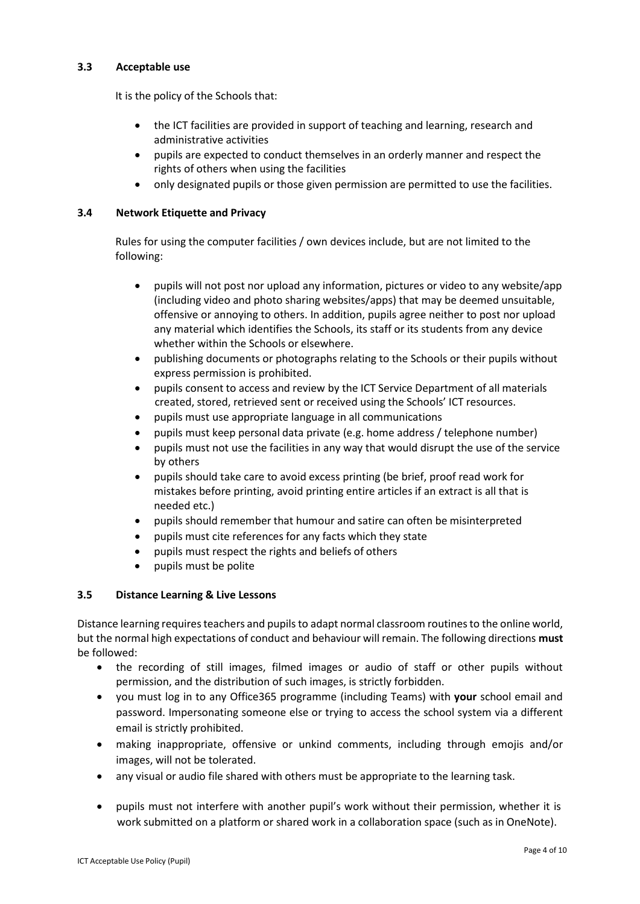# **3.3 Acceptable use**

It is the policy of the Schools that:

- the ICT facilities are provided in support of teaching and learning, research and administrative activities
- pupils are expected to conduct themselves in an orderly manner and respect the rights of others when using the facilities
- only designated pupils or those given permission are permitted to use the facilities.

# **3.4 Network Etiquette and Privacy**

Rules for using the computer facilities / own devices include, but are not limited to the following:

- pupils will not post nor upload any information, pictures or video to any website/app (including video and photo sharing websites/apps) that may be deemed unsuitable, offensive or annoying to others. In addition, pupils agree neither to post nor upload any material which identifies the Schools, its staff or its students from any device whether within the Schools or elsewhere.
- publishing documents or photographs relating to the Schools or their pupils without express permission is prohibited.
- pupils consent to access and review by the ICT Service Department of all materials created, stored, retrieved sent or received using the Schools' ICT resources.
- pupils must use appropriate language in all communications
- pupils must keep personal data private (e.g. home address / telephone number)
- pupils must not use the facilities in any way that would disrupt the use of the service by others
- pupils should take care to avoid excess printing (be brief, proof read work for mistakes before printing, avoid printing entire articles if an extract is all that is needed etc.)
- pupils should remember that humour and satire can often be misinterpreted
- pupils must cite references for any facts which they state
- pupils must respect the rights and beliefs of others
- pupils must be polite

# **3.5 Distance Learning & Live Lessons**

Distance learning requires teachers and pupils to adapt normal classroom routines to the online world, but the normal high expectations of conduct and behaviour will remain. The following directions **must** be followed:

- the recording of still images, filmed images or audio of staff or other pupils without permission, and the distribution of such images, is strictly forbidden.
- you must log in to any Office365 programme (including Teams) with **your** school email and password. Impersonating someone else or trying to access the school system via a different email is strictly prohibited.
- making inappropriate, offensive or unkind comments, including through emojis and/or images, will not be tolerated.
- any visual or audio file shared with others must be appropriate to the learning task.
- pupils must not interfere with another pupil's work without their permission, whether it is work submitted on a platform or shared work in a collaboration space (such as in OneNote).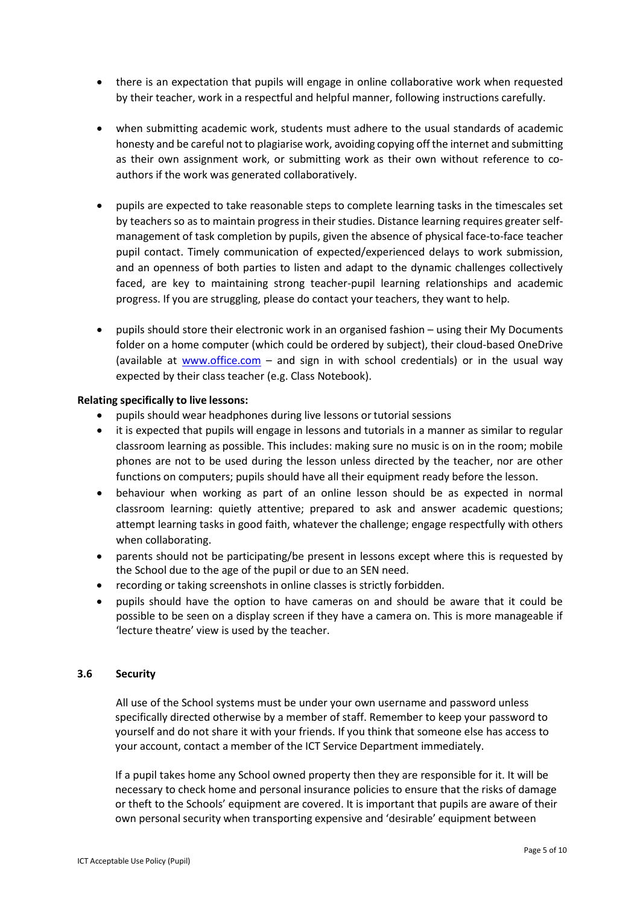- there is an expectation that pupils will engage in online collaborative work when requested by their teacher, work in a respectful and helpful manner, following instructions carefully.
- when submitting academic work, students must adhere to the usual standards of academic honesty and be careful notto plagiarise work, avoiding copying off the internet and submitting as their own assignment work, or submitting work as their own without reference to coauthors if the work was generated collaboratively.
- pupils are expected to take reasonable steps to complete learning tasks in the timescales set by teachers so as to maintain progress in their studies. Distance learning requires greater selfmanagement of task completion by pupils, given the absence of physical face-to-face teacher pupil contact. Timely communication of expected/experienced delays to work submission, and an openness of both parties to listen and adapt to the dynamic challenges collectively faced, are key to maintaining strong teacher-pupil learning relationships and academic progress. If you are struggling, please do contact your teachers, they want to help.
- pupils should store their electronic work in an organised fashion using their My Documents folder on a home computer (which could be ordered by subject), their cloud-based OneDrive (available at [www.office.com](http://www.office.com/) – and sign in with school credentials) or in the usual way expected by their class teacher (e.g. Class Notebook).

## **Relating specifically to live lessons:**

- pupils should wear headphones during live lessons or tutorial sessions
- it is expected that pupils will engage in lessons and tutorials in a manner as similar to regular classroom learning as possible. This includes: making sure no music is on in the room; mobile phones are not to be used during the lesson unless directed by the teacher, nor are other functions on computers; pupils should have all their equipment ready before the lesson.
- behaviour when working as part of an online lesson should be as expected in normal classroom learning: quietly attentive; prepared to ask and answer academic questions; attempt learning tasks in good faith, whatever the challenge; engage respectfully with others when collaborating.
- parents should not be participating/be present in lessons except where this is requested by the School due to the age of the pupil or due to an SEN need.
- recording or taking screenshots in online classes is strictly forbidden.
- pupils should have the option to have cameras on and should be aware that it could be possible to be seen on a display screen if they have a camera on. This is more manageable if 'lecture theatre' view is used by the teacher.

# **3.6 Security**

All use of the School systems must be under your own username and password unless specifically directed otherwise by a member of staff. Remember to keep your password to yourself and do not share it with your friends. If you think that someone else has access to your account, contact a member of the ICT Service Department immediately.

If a pupil takes home any School owned property then they are responsible for it. It will be necessary to check home and personal insurance policies to ensure that the risks of damage or theft to the Schools' equipment are covered. It is important that pupils are aware of their own personal security when transporting expensive and 'desirable' equipment between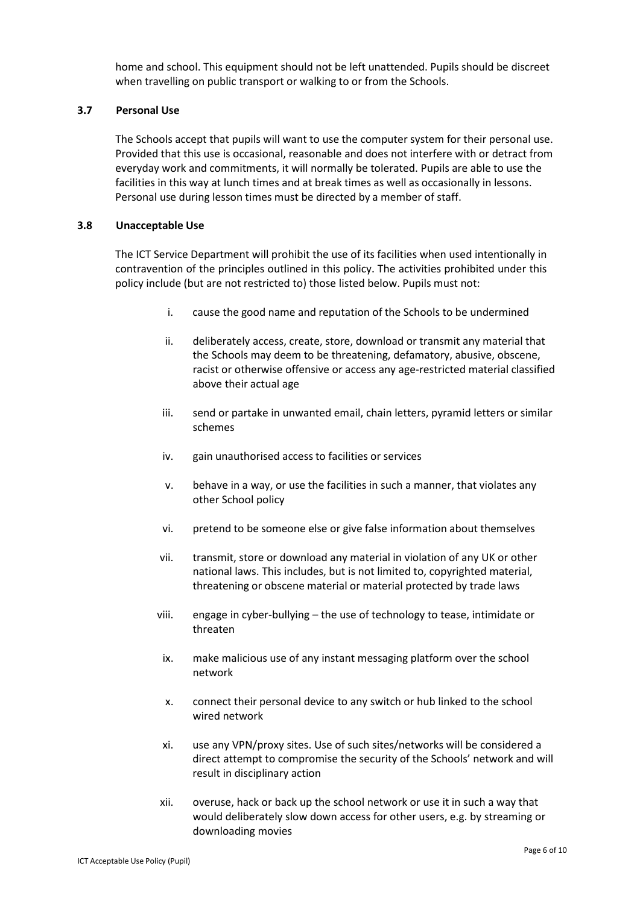home and school. This equipment should not be left unattended. Pupils should be discreet when travelling on public transport or walking to or from the Schools.

# **3.7 Personal Use**

The Schools accept that pupils will want to use the computer system for their personal use. Provided that this use is occasional, reasonable and does not interfere with or detract from everyday work and commitments, it will normally be tolerated. Pupils are able to use the facilities in this way at lunch times and at break times as well as occasionally in lessons. Personal use during lesson times must be directed by a member of staff.

## **3.8 Unacceptable Use**

The ICT Service Department will prohibit the use of its facilities when used intentionally in contravention of the principles outlined in this policy. The activities prohibited under this policy include (but are not restricted to) those listed below. Pupils must not:

- i. cause the good name and reputation of the Schools to be undermined
- ii. deliberately access, create, store, download or transmit any material that the Schools may deem to be threatening, defamatory, abusive, obscene, racist or otherwise offensive or access any age-restricted material classified above their actual age
- iii. send or partake in unwanted email, chain letters, pyramid letters or similar schemes
- iv. gain unauthorised access to facilities or services
- v. behave in a way, or use the facilities in such a manner, that violates any other School policy
- vi. pretend to be someone else or give false information about themselves
- vii. transmit, store or download any material in violation of any UK or other national laws. This includes, but is not limited to, copyrighted material, threatening or obscene material or material protected by trade laws
- viii. engage in cyber-bullying the use of technology to tease, intimidate or threaten
- ix. make malicious use of any instant messaging platform over the school network
- x. connect their personal device to any switch or hub linked to the school wired network
- xi. use any VPN/proxy sites. Use of such sites/networks will be considered a direct attempt to compromise the security of the Schools' network and will result in disciplinary action
- xii. overuse, hack or back up the school network or use it in such a way that would deliberately slow down access for other users, e.g. by streaming or downloading movies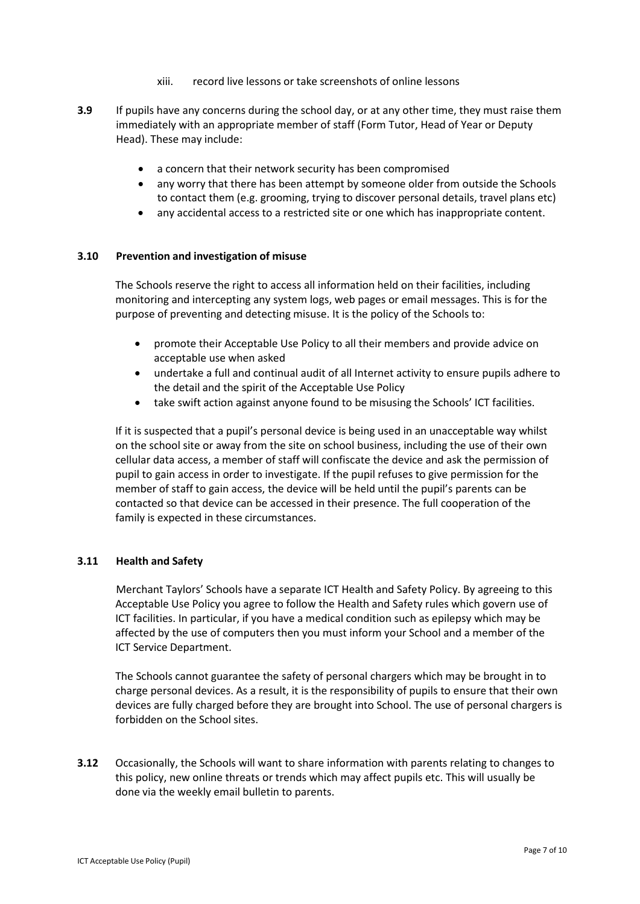- xiii. record live lessons or take screenshots of online lessons
- **3.9** If pupils have any concerns during the school day, or at any other time, they must raise them immediately with an appropriate member of staff (Form Tutor, Head of Year or Deputy Head). These may include:
	- a concern that their network security has been compromised
	- any worry that there has been attempt by someone older from outside the Schools to contact them (e.g. grooming, trying to discover personal details, travel plans etc)
	- any accidental access to a restricted site or one which has inappropriate content.

# **3.10 Prevention and investigation of misuse**

The Schools reserve the right to access all information held on their facilities, including monitoring and intercepting any system logs, web pages or email messages. This is for the purpose of preventing and detecting misuse. It is the policy of the Schools to:

- promote their Acceptable Use Policy to all their members and provide advice on acceptable use when asked
- undertake a full and continual audit of all Internet activity to ensure pupils adhere to the detail and the spirit of the Acceptable Use Policy
- take swift action against anyone found to be misusing the Schools' ICT facilities.

If it is suspected that a pupil's personal device is being used in an unacceptable way whilst on the school site or away from the site on school business, including the use of their own cellular data access, a member of staff will confiscate the device and ask the permission of pupil to gain access in order to investigate. If the pupil refuses to give permission for the member of staff to gain access, the device will be held until the pupil's parents can be contacted so that device can be accessed in their presence. The full cooperation of the family is expected in these circumstances.

# **3.11 Health and Safety**

Merchant Taylors' Schools have a separate ICT Health and Safety Policy. By agreeing to this Acceptable Use Policy you agree to follow the Health and Safety rules which govern use of ICT facilities. In particular, if you have a medical condition such as epilepsy which may be affected by the use of computers then you must inform your School and a member of the ICT Service Department.

The Schools cannot guarantee the safety of personal chargers which may be brought in to charge personal devices. As a result, it is the responsibility of pupils to ensure that their own devices are fully charged before they are brought into School. The use of personal chargers is forbidden on the School sites.

**3.12** Occasionally, the Schools will want to share information with parents relating to changes to this policy, new online threats or trends which may affect pupils etc. This will usually be done via the weekly email bulletin to parents.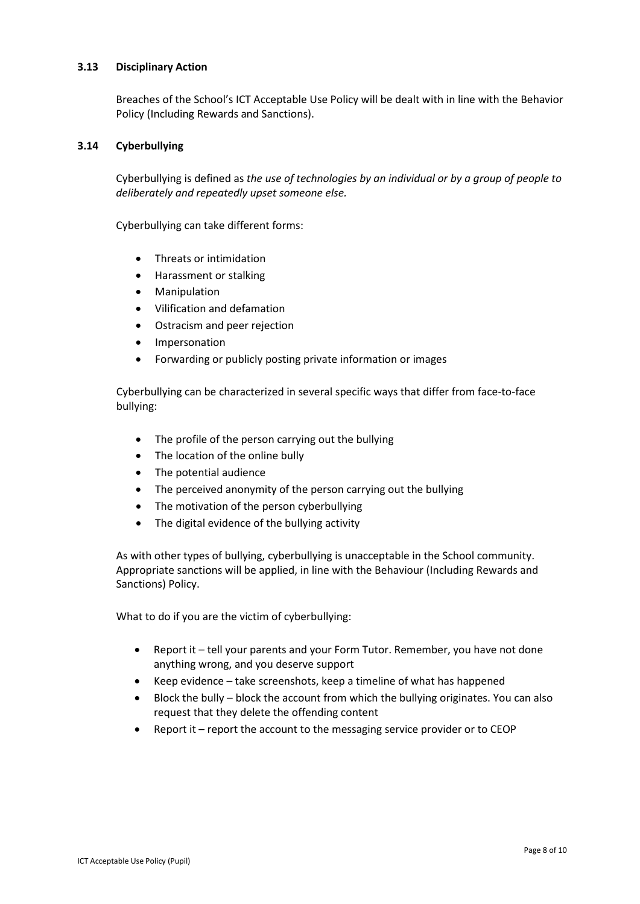# **3.13 Disciplinary Action**

Breaches of the School's ICT Acceptable Use Policy will be dealt with in line with the Behavior Policy (Including Rewards and Sanctions).

## **3.14 Cyberbullying**

Cyberbullying is defined as *the use of technologies by an individual or by a group of people to deliberately and repeatedly upset someone else.* 

Cyberbullying can take different forms:

- Threats or intimidation
- Harassment or stalking
- **Manipulation**
- Vilification and defamation
- Ostracism and peer rejection
- Impersonation
- Forwarding or publicly posting private information or images

Cyberbullying can be characterized in several specific ways that differ from face-to-face bullying:

- The profile of the person carrying out the bullying
- The location of the online bully
- The potential audience
- The perceived anonymity of the person carrying out the bullying
- The motivation of the person cyberbullying
- The digital evidence of the bullying activity

As with other types of bullying, cyberbullying is unacceptable in the School community. Appropriate sanctions will be applied, in line with the Behaviour (Including Rewards and Sanctions) Policy.

What to do if you are the victim of cyberbullying:

- Report it tell your parents and your Form Tutor. Remember, you have not done anything wrong, and you deserve support
- Keep evidence take screenshots, keep a timeline of what has happened
- Block the bully block the account from which the bullying originates. You can also request that they delete the offending content
- Report it report the account to the messaging service provider or to CEOP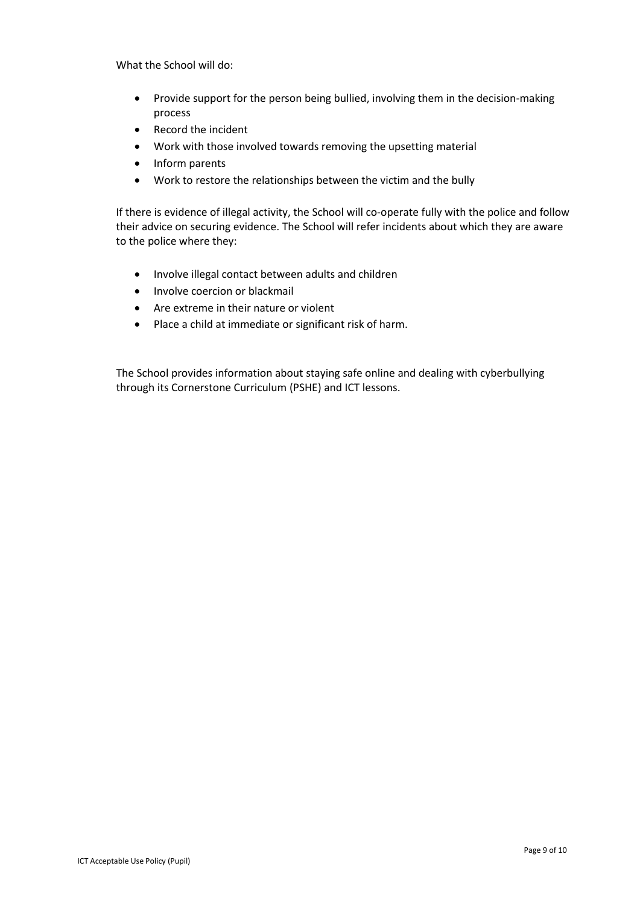What the School will do:

- Provide support for the person being bullied, involving them in the decision-making process
- Record the incident
- Work with those involved towards removing the upsetting material
- Inform parents
- Work to restore the relationships between the victim and the bully

If there is evidence of illegal activity, the School will co-operate fully with the police and follow their advice on securing evidence. The School will refer incidents about which they are aware to the police where they:

- Involve illegal contact between adults and children
- Involve coercion or blackmail
- Are extreme in their nature or violent
- Place a child at immediate or significant risk of harm.

The School provides information about staying safe online and dealing with cyberbullying through its Cornerstone Curriculum (PSHE) and ICT lessons.